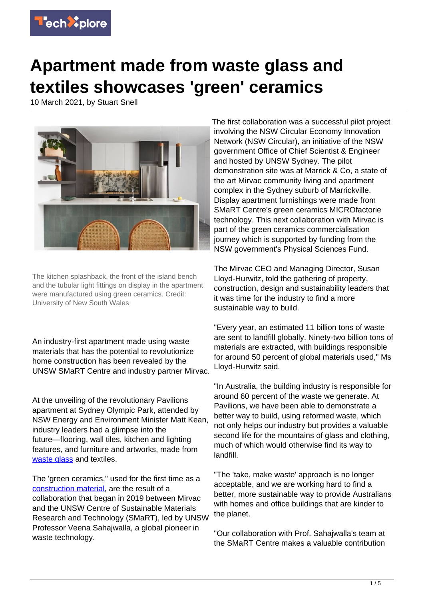

## **Apartment made from waste glass and textiles showcases 'green' ceramics**

10 March 2021, by Stuart Snell



The kitchen splashback, the front of the island bench and the tubular light fittings on display in the apartment were manufactured using green ceramics. Credit: University of New South Wales

An industry-first apartment made using waste materials that has the potential to revolutionize home construction has been revealed by the UNSW SMaRT Centre and industry partner Mirvac.

At the unveiling of the revolutionary Pavilions apartment at Sydney Olympic Park, attended by NSW Energy and Environment Minister Matt Kean, industry leaders had a glimpse into the future—flooring, wall tiles, kitchen and lighting features, and furniture and artworks, made from [waste glass](https://techxplore.com/tags/waste+glass/) and textiles.

The 'green ceramics," used for the first time as a [construction material,](https://techxplore.com/tags/construction+material/) are the result of a collaboration that began in 2019 between Mirvac and the UNSW Centre of Sustainable Materials Research and Technology (SMaRT), led by UNSW Professor Veena Sahajwalla, a global pioneer in waste technology.

The first collaboration was a successful pilot project involving the NSW Circular Economy Innovation Network (NSW Circular), an initiative of the NSW government Office of Chief Scientist & Engineer and hosted by UNSW Sydney. The pilot demonstration site was at Marrick & Co, a state of the art Mirvac community living and apartment complex in the Sydney suburb of Marrickville. Display apartment furnishings were made from SMaRT Centre's green ceramics MICROfactorie technology. This next collaboration with Mirvac is part of the green ceramics commercialisation journey which is supported by funding from the NSW government's Physical Sciences Fund.

The Mirvac CEO and Managing Director, Susan Lloyd-Hurwitz, told the gathering of property, construction, design and sustainability leaders that it was time for the industry to find a more sustainable way to build.

"Every year, an estimated 11 billion tons of waste are sent to landfill globally. Ninety-two billion tons of materials are extracted, with buildings responsible for around 50 percent of global materials used," Ms Lloyd-Hurwitz said.

"In Australia, the building industry is responsible for around 60 percent of the waste we generate. At Pavilions, we have been able to demonstrate a better way to build, using reformed waste, which not only helps our industry but provides a valuable second life for the mountains of glass and clothing, much of which would otherwise find its way to landfill.

"The 'take, make waste' approach is no longer acceptable, and we are working hard to find a better, more sustainable way to provide Australians with homes and office buildings that are kinder to the planet.

"Our collaboration with Prof. Sahajwalla's team at the SMaRT Centre makes a valuable contribution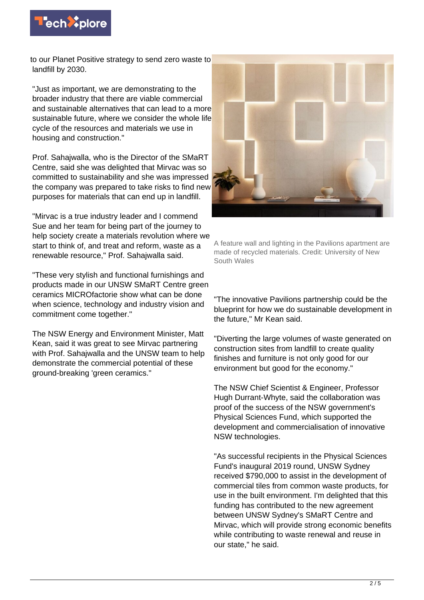

to our Planet Positive strategy to send zero waste to landfill by 2030.

"Just as important, we are demonstrating to the broader industry that there are viable commercial and sustainable alternatives that can lead to a more sustainable future, where we consider the whole life cycle of the resources and materials we use in housing and construction."

Prof. Sahajwalla, who is the Director of the SMaRT Centre, said she was delighted that Mirvac was so committed to sustainability and she was impressed the company was prepared to take risks to find new purposes for materials that can end up in landfill.

"Mirvac is a true industry leader and I commend Sue and her team for being part of the journey to help society create a materials revolution where we start to think of, and treat and reform, waste as a renewable resource," Prof. Sahajwalla said.

"These very stylish and functional furnishings and products made in our UNSW SMaRT Centre green ceramics MICROfactorie show what can be done when science, technology and industry vision and commitment come together."

The NSW Energy and Environment Minister, Matt Kean, said it was great to see Mirvac partnering with Prof. Sahajwalla and the UNSW team to help demonstrate the commercial potential of these ground-breaking 'green ceramics."



A feature wall and lighting in the Pavilions apartment are made of recycled materials. Credit: University of New South Wales

"The innovative Pavilions partnership could be the blueprint for how we do sustainable development in the future," Mr Kean said.

"Diverting the large volumes of waste generated on construction sites from landfill to create quality finishes and furniture is not only good for our environment but good for the economy."

The NSW Chief Scientist & Engineer, Professor Hugh Durrant-Whyte, said the collaboration was proof of the success of the NSW government's Physical Sciences Fund, which supported the development and commercialisation of innovative NSW technologies.

"As successful recipients in the Physical Sciences Fund's inaugural 2019 round, UNSW Sydney received \$790,000 to assist in the development of commercial tiles from common waste products, for use in the built environment. I'm delighted that this funding has contributed to the new agreement between UNSW Sydney's SMaRT Centre and Mirvac, which will provide strong economic benefits while contributing to waste renewal and reuse in our state," he said.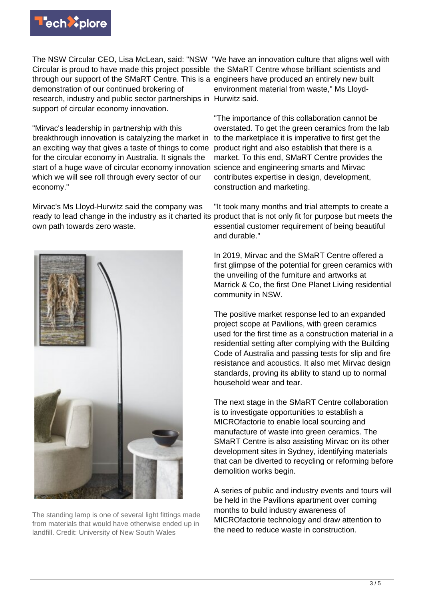

The NSW Circular CEO, Lisa McLean, said: "NSW "We have an innovation culture that aligns well with Circular is proud to have made this project possible the SMaRT Centre whose brilliant scientists and through our support of the SMaRT Centre. This is a engineers have produced an entirely new built demonstration of our continued brokering of research, industry and public sector partnerships in Hurwitz said. support of circular economy innovation.

"Mirvac's leadership in partnership with this breakthrough innovation is catalyzing the market in an exciting way that gives a taste of things to come for the circular economy in Australia. It signals the start of a huge wave of circular economy innovation science and engineering smarts and Mirvac which we will see roll through every sector of our economy."

Mirvac's Ms Lloyd-Hurwitz said the company was ready to lead change in the industry as it charted its own path towards zero waste.



The standing lamp is one of several light fittings made from materials that would have otherwise ended up in landfill. Credit: University of New South Wales

environment material from waste," Ms Lloyd-

"The importance of this collaboration cannot be overstated. To get the green ceramics from the lab to the marketplace it is imperative to first get the product right and also establish that there is a market. To this end, SMaRT Centre provides the contributes expertise in design, development, construction and marketing.

"It took many months and trial attempts to create a product that is not only fit for purpose but meets the essential customer requirement of being beautiful and durable."

In 2019, Mirvac and the SMaRT Centre offered a first glimpse of the potential for green ceramics with the unveiling of the furniture and artworks at Marrick & Co, the first One Planet Living residential community in NSW.

The positive market response led to an expanded project scope at Pavilions, with green ceramics used for the first time as a construction material in a residential setting after complying with the Building Code of Australia and passing tests for slip and fire resistance and acoustics. It also met Mirvac design standards, proving its ability to stand up to normal household wear and tear.

The next stage in the SMaRT Centre collaboration is to investigate opportunities to establish a MICROfactorie to enable local sourcing and manufacture of waste into green ceramics. The SMaRT Centre is also assisting Mirvac on its other development sites in Sydney, identifying materials that can be diverted to recycling or reforming before demolition works begin.

A series of public and industry events and tours will be held in the Pavilions apartment over coming months to build industry awareness of MICROfactorie technology and draw attention to the need to reduce waste in construction.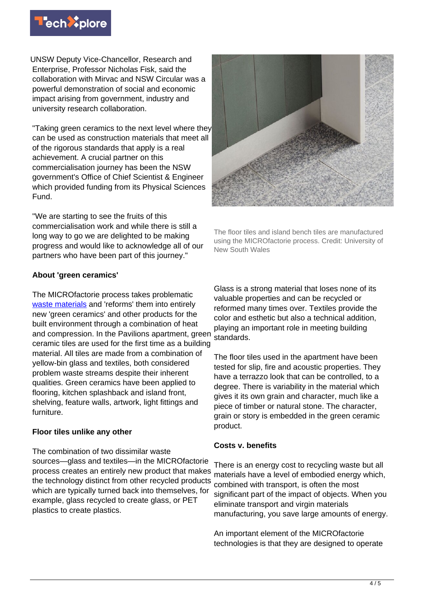

UNSW Deputy Vice-Chancellor, Research and Enterprise, Professor Nicholas Fisk, said the collaboration with Mirvac and NSW Circular was a powerful demonstration of social and economic impact arising from government, industry and university research collaboration.

"Taking green ceramics to the next level where they can be used as construction materials that meet all of the rigorous standards that apply is a real achievement. A crucial partner on this commercialisation journey has been the NSW government's Office of Chief Scientist & Engineer which provided funding from its Physical Sciences Fund.

"We are starting to see the fruits of this commercialisation work and while there is still a long way to go we are delighted to be making progress and would like to acknowledge all of our partners who have been part of this journey."

## **About 'green ceramics'**

The MICROfactorie process takes problematic [waste materials](https://techxplore.com/tags/waste+materials/) and 'reforms' them into entirely new 'green ceramics' and other products for the built environment through a combination of heat and compression. In the Pavilions apartment, green ceramic tiles are used for the first time as a building material. All tiles are made from a combination of yellow-bin glass and textiles, both considered problem waste streams despite their inherent qualities. Green ceramics have been applied to flooring, kitchen splashback and island front, shelving, feature walls, artwork, light fittings and furniture.

## **Floor tiles unlike any other**

The combination of two dissimilar waste sources—glass and textiles—in the MICROfactorie process creates an entirely new product that makes the technology distinct from other recycled products which are typically turned back into themselves, for example, glass recycled to create glass, or PET plastics to create plastics.



The floor tiles and island bench tiles are manufactured using the MICROfactorie process. Credit: University of New South Wales

Glass is a strong material that loses none of its valuable properties and can be recycled or reformed many times over. Textiles provide the color and esthetic but also a technical addition, playing an important role in meeting building standards.

The floor tiles used in the apartment have been tested for slip, fire and acoustic properties. They have a terrazzo look that can be controlled, to a degree. There is variability in the material which gives it its own grain and character, much like a piece of timber or natural stone. The character, grain or story is embedded in the green ceramic product.

## **Costs v. benefits**

There is an energy cost to recycling waste but all materials have a level of embodied energy which, combined with transport, is often the most significant part of the impact of objects. When you eliminate transport and virgin materials manufacturing, you save large amounts of energy.

An important element of the MICROfactorie technologies is that they are designed to operate